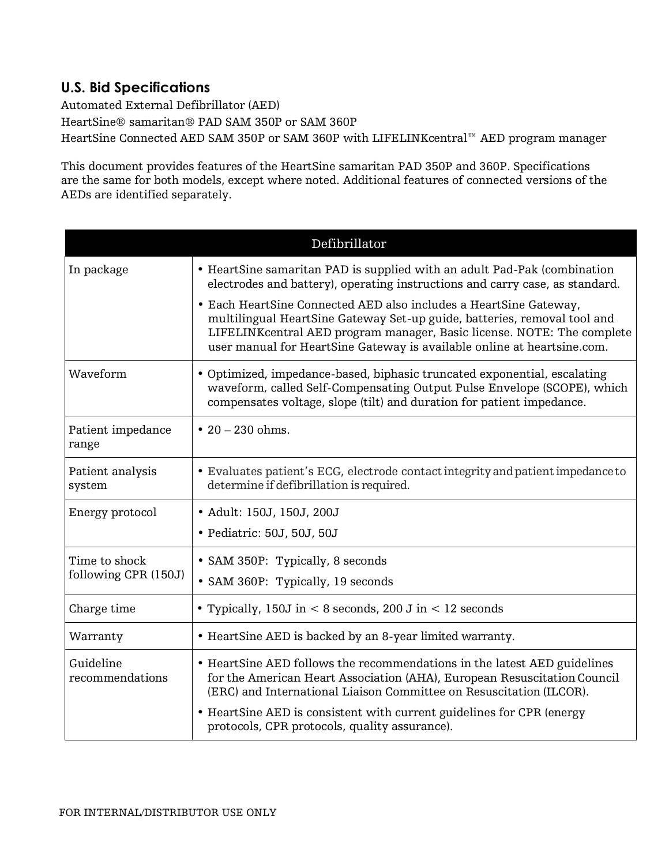## **U.S. Bid Specifications**

Automated External Defibrillator (AED)

HeartSine® samaritan® PAD SAM 350P or SAM 360P HeartSine Connected AED SAM 350P or SAM 360P with LIFELINKcentral™ AED program manager

This document provides features of the HeartSine samaritan PAD 350P and 360P. Specifications are the same for both models, except where noted. Additional features of connected versions of the AEDs are identified separately.

| Defibrillator                         |                                                                                                                                                                                                                                                                                                    |
|---------------------------------------|----------------------------------------------------------------------------------------------------------------------------------------------------------------------------------------------------------------------------------------------------------------------------------------------------|
| In package                            | • HeartSine samaritan PAD is supplied with an adult Pad-Pak (combination<br>electrodes and battery), operating instructions and carry case, as standard.                                                                                                                                           |
|                                       | • Each HeartSine Connected AED also includes a HeartSine Gateway,<br>multilingual HeartSine Gateway Set-up guide, batteries, removal tool and<br>LIFELINKcentral AED program manager, Basic license. NOTE: The complete<br>user manual for HeartSine Gateway is available online at heartsine.com. |
| Waveform                              | • Optimized, impedance-based, biphasic truncated exponential, escalating<br>waveform, called Self-Compensating Output Pulse Envelope (SCOPE), which<br>compensates voltage, slope (tilt) and duration for patient impedance.                                                                       |
| Patient impedance<br>range            | • $20 - 230$ ohms.                                                                                                                                                                                                                                                                                 |
| Patient analysis<br>system            | · Evaluates patient's ECG, electrode contact integrity and patient impedance to<br>determine if defibrillation is required.                                                                                                                                                                        |
| Energy protocol                       | • Adult: 150J, 150J, 200J                                                                                                                                                                                                                                                                          |
|                                       | • Pediatric: 50J, 50J, 50J                                                                                                                                                                                                                                                                         |
| Time to shock<br>following CPR (150J) | • SAM 350P: Typically, 8 seconds                                                                                                                                                                                                                                                                   |
|                                       | • SAM 360P: Typically, 19 seconds                                                                                                                                                                                                                                                                  |
| Charge time                           | • Typically, 150J in $< 8$ seconds, 200 J in $< 12$ seconds                                                                                                                                                                                                                                        |
| Warranty                              | • HeartSine AED is backed by an 8-year limited warranty.                                                                                                                                                                                                                                           |
| Guideline<br>recommendations          | • HeartSine AED follows the recommendations in the latest AED guidelines<br>for the American Heart Association (AHA), European Resuscitation Council<br>(ERC) and International Liaison Committee on Resuscitation (ILCOR).                                                                        |
|                                       | • HeartSine AED is consistent with current guidelines for CPR (energy<br>protocols, CPR protocols, quality assurance).                                                                                                                                                                             |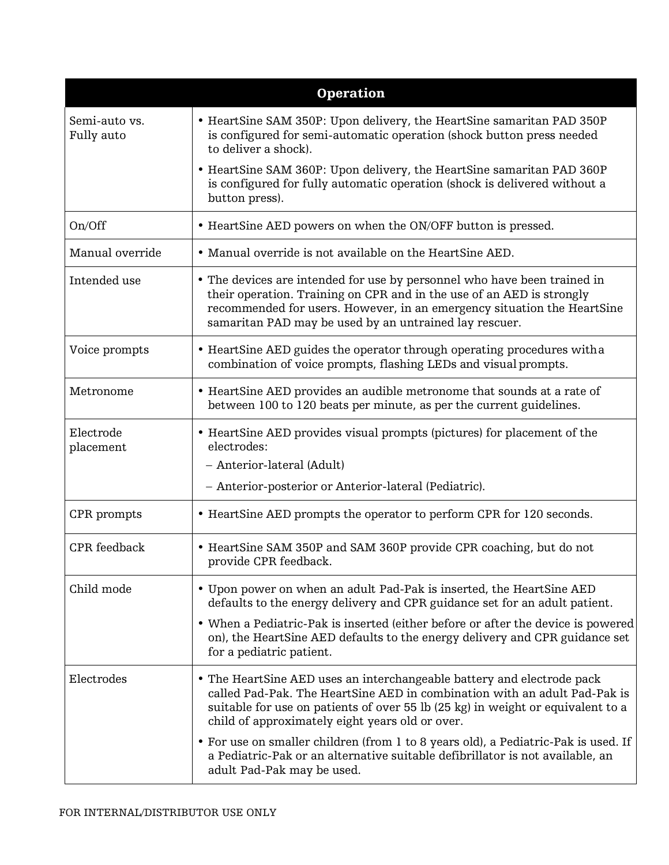| <b>Operation</b>            |                                                                                                                                                                                                                                                                                           |
|-----------------------------|-------------------------------------------------------------------------------------------------------------------------------------------------------------------------------------------------------------------------------------------------------------------------------------------|
| Semi-auto vs.<br>Fully auto | • HeartSine SAM 350P: Upon delivery, the HeartSine samaritan PAD 350P<br>is configured for semi-automatic operation (shock button press needed<br>to deliver a shock).                                                                                                                    |
|                             | • HeartSine SAM 360P: Upon delivery, the HeartSine samaritan PAD 360P<br>is configured for fully automatic operation (shock is delivered without a<br>button press).                                                                                                                      |
| On/Off                      | • HeartSine AED powers on when the ON/OFF button is pressed.                                                                                                                                                                                                                              |
| Manual override             | • Manual override is not available on the HeartSine AED.                                                                                                                                                                                                                                  |
| Intended use                | • The devices are intended for use by personnel who have been trained in<br>their operation. Training on CPR and in the use of an AED is strongly<br>recommended for users. However, in an emergency situation the HeartSine<br>samaritan PAD may be used by an untrained lay rescuer.    |
| Voice prompts               | • HeartSine AED guides the operator through operating procedures with a<br>combination of voice prompts, flashing LEDs and visual prompts.                                                                                                                                                |
| Metronome                   | • HeartSine AED provides an audible metronome that sounds at a rate of<br>between 100 to 120 beats per minute, as per the current guidelines.                                                                                                                                             |
| Electrode<br>placement      | • HeartSine AED provides visual prompts (pictures) for placement of the<br>electrodes:                                                                                                                                                                                                    |
|                             | - Anterior-lateral (Adult)                                                                                                                                                                                                                                                                |
|                             | - Anterior-posterior or Anterior-lateral (Pediatric).                                                                                                                                                                                                                                     |
| CPR prompts                 | • HeartSine AED prompts the operator to perform CPR for 120 seconds.                                                                                                                                                                                                                      |
| <b>CPR</b> feedback         | • HeartSine SAM 350P and SAM 360P provide CPR coaching, but do not<br>provide CPR feedback.                                                                                                                                                                                               |
| Child mode                  | • Upon power on when an adult Pad-Pak is inserted, the HeartSine AED<br>defaults to the energy delivery and CPR guidance set for an adult patient.                                                                                                                                        |
|                             | • When a Pediatric-Pak is inserted (either before or after the device is powered<br>on), the HeartSine AED defaults to the energy delivery and CPR guidance set<br>for a pediatric patient.                                                                                               |
| Electrodes                  | • The HeartSine AED uses an interchangeable battery and electrode pack<br>called Pad-Pak. The HeartSine AED in combination with an adult Pad-Pak is<br>suitable for use on patients of over 55 lb (25 kg) in weight or equivalent to a<br>child of approximately eight years old or over. |
|                             | • For use on smaller children (from 1 to 8 years old), a Pediatric-Pak is used. If<br>a Pediatric-Pak or an alternative suitable defibrillator is not available, an<br>adult Pad-Pak may be used.                                                                                         |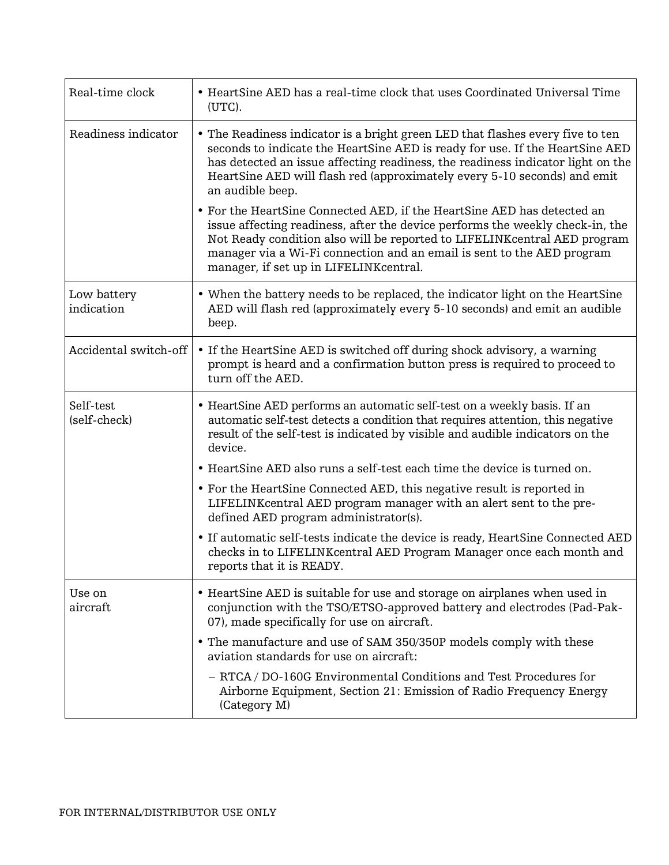| Real-time clock           | • HeartSine AED has a real-time clock that uses Coordinated Universal Time<br>(UTC).                                                                                                                                                                                                                                                                      |
|---------------------------|-----------------------------------------------------------------------------------------------------------------------------------------------------------------------------------------------------------------------------------------------------------------------------------------------------------------------------------------------------------|
| Readiness indicator       | • The Readiness indicator is a bright green LED that flashes every five to ten<br>seconds to indicate the HeartSine AED is ready for use. If the HeartSine AED<br>has detected an issue affecting readiness, the readiness indicator light on the<br>HeartSine AED will flash red (approximately every 5-10 seconds) and emit<br>an audible beep.         |
|                           | • For the HeartSine Connected AED, if the HeartSine AED has detected an<br>issue affecting readiness, after the device performs the weekly check-in, the<br>Not Ready condition also will be reported to LIFELINK central AED program<br>manager via a Wi-Fi connection and an email is sent to the AED program<br>manager, if set up in LIFELINKcentral. |
| Low battery<br>indication | • When the battery needs to be replaced, the indicator light on the HeartSine<br>AED will flash red (approximately every 5-10 seconds) and emit an audible<br>beep.                                                                                                                                                                                       |
| Accidental switch-off     | • If the HeartSine AED is switched off during shock advisory, a warning<br>prompt is heard and a confirmation button press is required to proceed to<br>turn off the AED.                                                                                                                                                                                 |
| Self-test<br>(self-check) | • HeartSine AED performs an automatic self-test on a weekly basis. If an<br>automatic self-test detects a condition that requires attention, this negative<br>result of the self-test is indicated by visible and audible indicators on the<br>device.                                                                                                    |
|                           | • HeartSine AED also runs a self-test each time the device is turned on.                                                                                                                                                                                                                                                                                  |
|                           | • For the HeartSine Connected AED, this negative result is reported in<br>LIFELINK central AED program manager with an alert sent to the pre-<br>defined AED program administrator(s).                                                                                                                                                                    |
|                           | • If automatic self-tests indicate the device is ready, HeartSine Connected AED<br>checks in to LIFELINK central AED Program Manager once each month and<br>reports that it is READY.                                                                                                                                                                     |
| Use on<br>aircraft        | • HeartSine AED is suitable for use and storage on airplanes when used in<br>conjunction with the TSO/ETSO-approved battery and electrodes (Pad-Pak-<br>07), made specifically for use on aircraft.                                                                                                                                                       |
|                           | • The manufacture and use of SAM 350/350P models comply with these<br>aviation standards for use on aircraft:                                                                                                                                                                                                                                             |
|                           | - RTCA / DO-160G Environmental Conditions and Test Procedures for<br>Airborne Equipment, Section 21: Emission of Radio Frequency Energy<br>(Category M)                                                                                                                                                                                                   |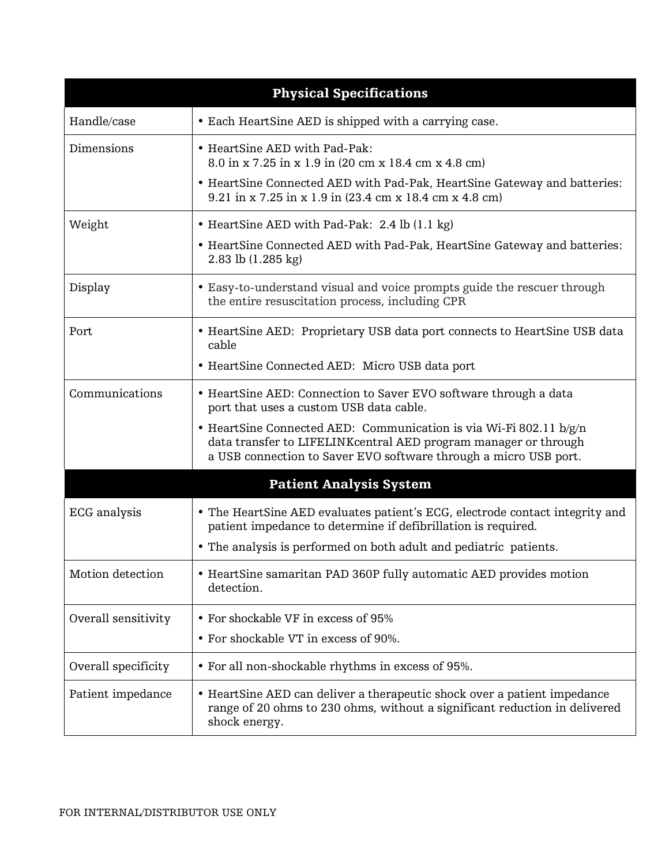| <b>Physical Specifications</b> |                                                                                                                                                                                                           |
|--------------------------------|-----------------------------------------------------------------------------------------------------------------------------------------------------------------------------------------------------------|
| Handle/case                    | • Each HeartSine AED is shipped with a carrying case.                                                                                                                                                     |
| Dimensions                     | • HeartSine AED with Pad-Pak:<br>8.0 in x 7.25 in x 1.9 in (20 cm x 18.4 cm x 4.8 cm)                                                                                                                     |
|                                | • HeartSine Connected AED with Pad-Pak, HeartSine Gateway and batteries:<br>9.21 in x 7.25 in x 1.9 in (23.4 cm x 18.4 cm x 4.8 cm)                                                                       |
| Weight                         | • HeartSine AED with Pad-Pak: 2.4 lb (1.1 kg)                                                                                                                                                             |
|                                | • HeartSine Connected AED with Pad-Pak, HeartSine Gateway and batteries:<br>2.83 lb (1.285 kg)                                                                                                            |
| Display                        | • Easy-to-understand visual and voice prompts guide the rescuer through<br>the entire resuscitation process, including CPR                                                                                |
| Port                           | • HeartSine AED: Proprietary USB data port connects to HeartSine USB data<br>cable                                                                                                                        |
|                                | • HeartSine Connected AED: Micro USB data port                                                                                                                                                            |
| Communications                 | • HeartSine AED: Connection to Saver EVO software through a data<br>port that uses a custom USB data cable.                                                                                               |
|                                | • HeartSine Connected AED: Communication is via Wi-Fi 802.11 b/g/n<br>data transfer to LIFELINKcentral AED program manager or through<br>a USB connection to Saver EVO software through a micro USB port. |
|                                | <b>Patient Analysis System</b>                                                                                                                                                                            |
| <b>ECG</b> analysis            | • The HeartSine AED evaluates patient's ECG, electrode contact integrity and<br>patient impedance to determine if defibrillation is required.                                                             |
|                                | • The analysis is performed on both adult and pediatric patients.                                                                                                                                         |
| Motion detection               | • HeartSine samaritan PAD 360P fully automatic AED provides motion<br>detection.                                                                                                                          |
| Overall sensitivity            | • For shockable VF in excess of 95%                                                                                                                                                                       |
|                                | • For shockable VT in excess of 90%.                                                                                                                                                                      |
| Overall specificity            | • For all non-shockable rhythms in excess of 95%.                                                                                                                                                         |
| Patient impedance              | • HeartSine AED can deliver a therapeutic shock over a patient impedance<br>range of 20 ohms to 230 ohms, without a significant reduction in delivered<br>shock energy.                                   |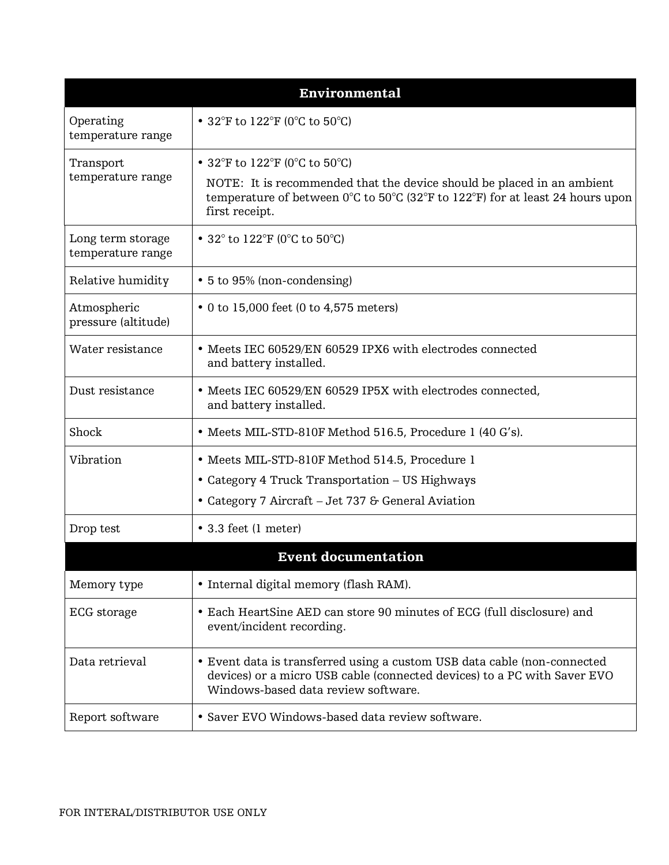| <b>Environmental</b>                   |                                                                                                                                                                                             |
|----------------------------------------|---------------------------------------------------------------------------------------------------------------------------------------------------------------------------------------------|
| Operating<br>temperature range         | • 32°F to $122$ °F (0°C to 50°C)                                                                                                                                                            |
| Transport<br>temperature range         | • 32°F to 122°F (0°C to 50°C)<br>NOTE: It is recommended that the device should be placed in an ambient                                                                                     |
|                                        | temperature of between $0^{\circ}$ C to $50^{\circ}$ C (32 <sup>°</sup> F to 122 <sup>°</sup> F) for at least 24 hours upon<br>first receipt.                                               |
| Long term storage<br>temperature range | • 32 $^{\circ}$ to 122 $^{\circ}$ F (0 $^{\circ}$ C to 50 $^{\circ}$ C)                                                                                                                     |
| Relative humidity                      | • 5 to 95% (non-condensing)                                                                                                                                                                 |
| Atmospheric<br>pressure (altitude)     | • 0 to 15,000 feet (0 to 4,575 meters)                                                                                                                                                      |
| Water resistance                       | • Meets IEC 60529/EN 60529 IPX6 with electrodes connected<br>and battery installed.                                                                                                         |
| Dust resistance                        | • Meets IEC 60529/EN 60529 IP5X with electrodes connected,<br>and battery installed.                                                                                                        |
| Shock                                  | • Meets MIL-STD-810F Method 516.5, Procedure 1 (40 G's).                                                                                                                                    |
| Vibration                              | • Meets MIL-STD-810F Method 514.5, Procedure 1                                                                                                                                              |
|                                        | • Category 4 Truck Transportation – US Highways                                                                                                                                             |
|                                        | • Category 7 Aircraft – Jet 737 & General Aviation                                                                                                                                          |
| Drop test                              | • 3.3 feet (1 meter)                                                                                                                                                                        |
|                                        | <b>Event documentation</b>                                                                                                                                                                  |
| Memory type                            | • Internal digital memory (flash RAM).                                                                                                                                                      |
| ECG storage                            | • Each HeartSine AED can store 90 minutes of ECG (full disclosure) and<br>event/incident recording.                                                                                         |
| Data retrieval                         | • Event data is transferred using a custom USB data cable (non-connected<br>devices) or a micro USB cable (connected devices) to a PC with Saver EVO<br>Windows-based data review software. |
| Report software                        | • Saver EVO Windows-based data review software.                                                                                                                                             |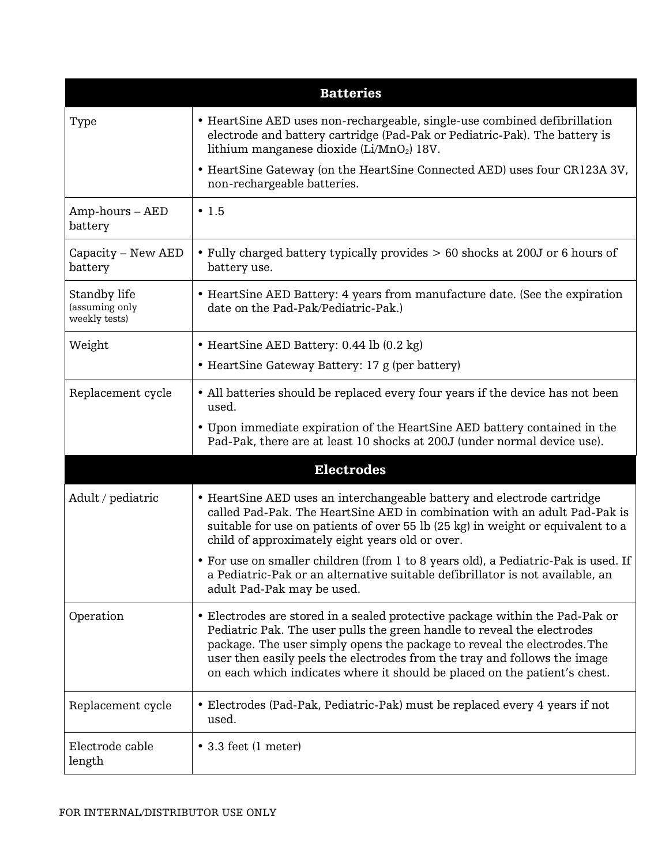| <b>Batteries</b>                                |                                                                                                                                                                                                                                                                                                                                                                                               |
|-------------------------------------------------|-----------------------------------------------------------------------------------------------------------------------------------------------------------------------------------------------------------------------------------------------------------------------------------------------------------------------------------------------------------------------------------------------|
| Type                                            | • HeartSine AED uses non-rechargeable, single-use combined defibrillation<br>electrode and battery cartridge (Pad-Pak or Pediatric-Pak). The battery is<br>lithium manganese dioxide $(Li/MnO2)$ 18V.                                                                                                                                                                                         |
|                                                 | • HeartSine Gateway (on the HeartSine Connected AED) uses four CR123A 3V,<br>non-rechargeable batteries.                                                                                                                                                                                                                                                                                      |
| $Amp$ -hours $- AED$<br>battery                 | $\cdot$ 1.5                                                                                                                                                                                                                                                                                                                                                                                   |
| Capacity - New AED<br>battery                   | • Fully charged battery typically provides > 60 shocks at 200J or 6 hours of<br>battery use.                                                                                                                                                                                                                                                                                                  |
| Standby life<br>(assuming only<br>weekly tests) | • HeartSine AED Battery: 4 years from manufacture date. (See the expiration<br>date on the Pad-Pak/Pediatric-Pak.)                                                                                                                                                                                                                                                                            |
| Weight                                          | • HeartSine AED Battery: 0.44 lb (0.2 kg)                                                                                                                                                                                                                                                                                                                                                     |
|                                                 | • HeartSine Gateway Battery: 17 g (per battery)                                                                                                                                                                                                                                                                                                                                               |
| Replacement cycle                               | • All batteries should be replaced every four years if the device has not been<br>used.                                                                                                                                                                                                                                                                                                       |
|                                                 | • Upon immediate expiration of the HeartSine AED battery contained in the<br>Pad-Pak, there are at least 10 shocks at 200J (under normal device use).                                                                                                                                                                                                                                         |
|                                                 | <b>Electrodes</b>                                                                                                                                                                                                                                                                                                                                                                             |
| Adult / pediatric                               | • HeartSine AED uses an interchangeable battery and electrode cartridge<br>called Pad-Pak. The HeartSine AED in combination with an adult Pad-Pak is<br>suitable for use on patients of over 55 lb (25 kg) in weight or equivalent to a<br>child of approximately eight years old or over.                                                                                                    |
|                                                 | • For use on smaller children (from 1 to 8 years old), a Pediatric-Pak is used. If<br>a Pediatric-Pak or an alternative suitable defibrillator is not available, an<br>adult Pad-Pak may be used.                                                                                                                                                                                             |
| Operation                                       | • Electrodes are stored in a sealed protective package within the Pad-Pak or<br>Pediatric Pak. The user pulls the green handle to reveal the electrodes<br>package. The user simply opens the package to reveal the electrodes. The<br>user then easily peels the electrodes from the tray and follows the image<br>on each which indicates where it should be placed on the patient's chest. |
| Replacement cycle                               | • Electrodes (Pad-Pak, Pediatric-Pak) must be replaced every 4 years if not<br>used.                                                                                                                                                                                                                                                                                                          |
| Electrode cable<br>length                       | $\bullet$ 3.3 feet (1 meter)                                                                                                                                                                                                                                                                                                                                                                  |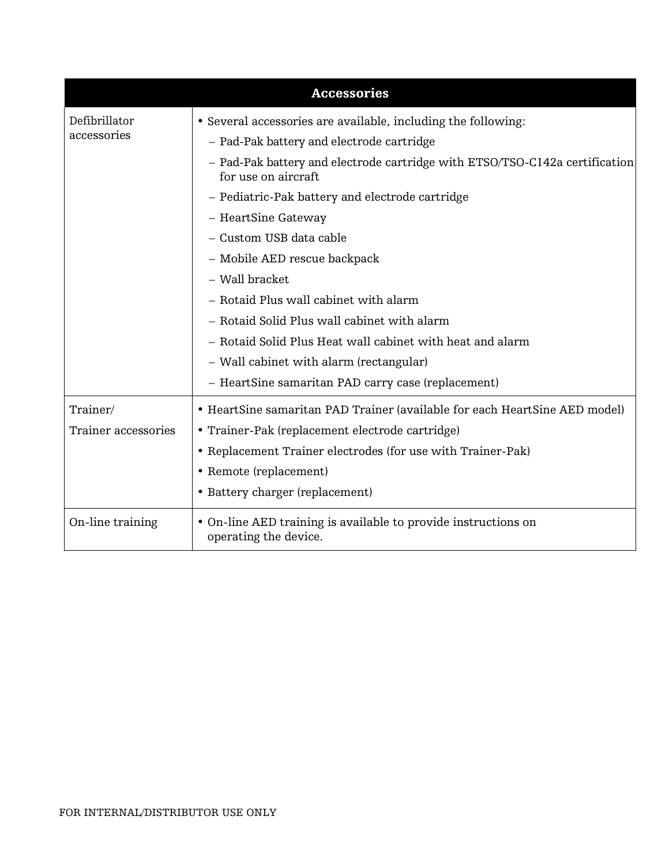| <b>Accessories</b>           |                                                                                                    |
|------------------------------|----------------------------------------------------------------------------------------------------|
| Defibrillator<br>accessories | • Several accessories are available, including the following:                                      |
|                              | - Pad-Pak battery and electrode cartridge                                                          |
|                              | - Pad-Pak battery and electrode cartridge with ETSO/TSO-C142a certification<br>for use on aircraft |
|                              | - Pediatric-Pak battery and electrode cartridge                                                    |
|                              | - HeartSine Gateway                                                                                |
|                              | - Custom USB data cable                                                                            |
|                              | - Mobile AED rescue backpack                                                                       |
|                              | - Wall bracket                                                                                     |
|                              | - Rotaid Plus wall cabinet with alarm                                                              |
|                              | - Rotaid Solid Plus wall cabinet with alarm                                                        |
|                              | - Rotaid Solid Plus Heat wall cabinet with heat and alarm                                          |
|                              | - Wall cabinet with alarm (rectangular)                                                            |
|                              | - HeartSine samaritan PAD carry case (replacement)                                                 |
| Trainer/                     | • HeartSine samaritan PAD Trainer (available for each HeartSine AED model)                         |
| Trainer accessories          | • Trainer-Pak (replacement electrode cartridge)                                                    |
|                              | • Replacement Trainer electrodes (for use with Trainer-Pak)                                        |
|                              | • Remote (replacement)                                                                             |
|                              | • Battery charger (replacement)                                                                    |
| On-line training             | • On-line AED training is available to provide instructions on<br>operating the device.            |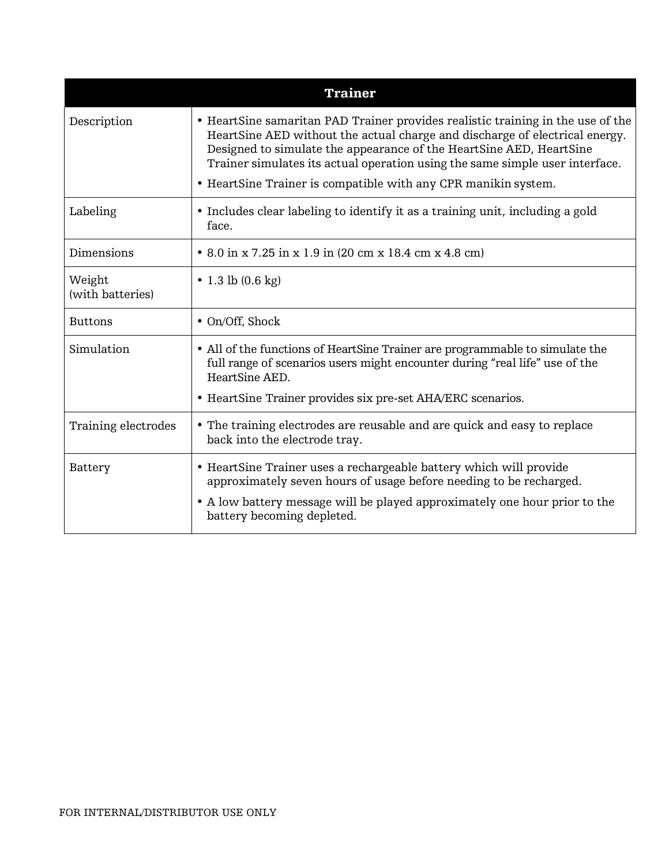| <b>Trainer</b>             |                                                                                                                                                                                                                                                                                                                       |
|----------------------------|-----------------------------------------------------------------------------------------------------------------------------------------------------------------------------------------------------------------------------------------------------------------------------------------------------------------------|
| Description                | • HeartSine samaritan PAD Trainer provides realistic training in the use of the<br>HeartSine AED without the actual charge and discharge of electrical energy.<br>Designed to simulate the appearance of the HeartSine AED, HeartSine<br>Trainer simulates its actual operation using the same simple user interface. |
|                            | • HeartSine Trainer is compatible with any CPR manikin system.                                                                                                                                                                                                                                                        |
| Labeling                   | • Includes clear labeling to identify it as a training unit, including a gold<br>face.                                                                                                                                                                                                                                |
| Dimensions                 | • 8.0 in x 7.25 in x 1.9 in (20 cm x 18.4 cm x 4.8 cm)                                                                                                                                                                                                                                                                |
| Weight<br>(with batteries) | • 1.3 lb $(0.6 \text{ kg})$                                                                                                                                                                                                                                                                                           |
| <b>Buttons</b>             | $\bullet$ On/Off, Shock                                                                                                                                                                                                                                                                                               |
| Simulation                 | • All of the functions of HeartSine Trainer are programmable to simulate the<br>full range of scenarios users might encounter during "real life" use of the<br>HeartSine AED.                                                                                                                                         |
|                            | • HeartSine Trainer provides six pre-set AHA/ERC scenarios.                                                                                                                                                                                                                                                           |
| Training electrodes        | • The training electrodes are reusable and are quick and easy to replace<br>back into the electrode tray.                                                                                                                                                                                                             |
| Battery                    | • HeartSine Trainer uses a rechargeable battery which will provide<br>approximately seven hours of usage before needing to be recharged.                                                                                                                                                                              |
|                            | • A low battery message will be played approximately one hour prior to the<br>battery becoming depleted.                                                                                                                                                                                                              |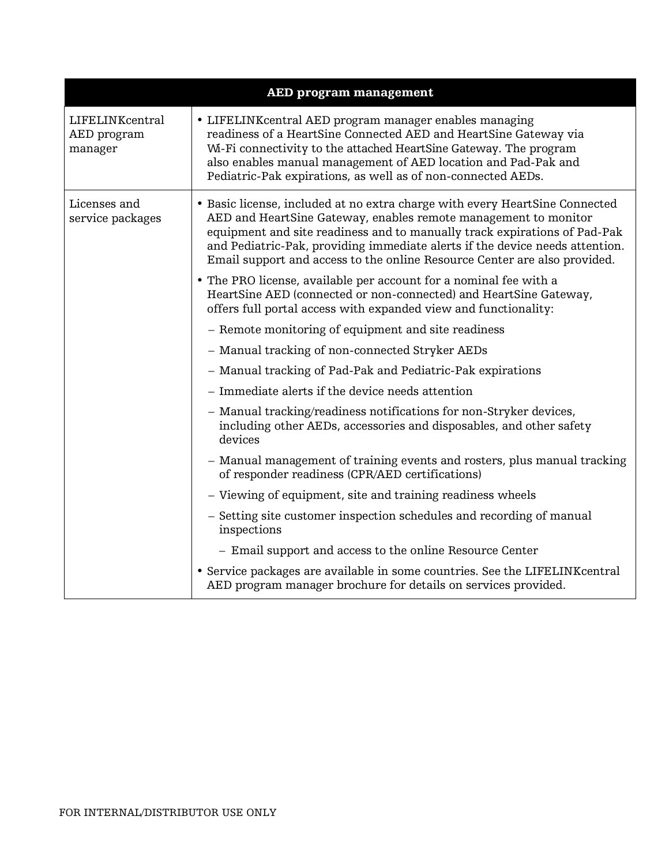|                                           | <b>AED program management</b>                                                                                                                                                                                                                                                                                                                                                            |
|-------------------------------------------|------------------------------------------------------------------------------------------------------------------------------------------------------------------------------------------------------------------------------------------------------------------------------------------------------------------------------------------------------------------------------------------|
| LIFELINKcentral<br>AED program<br>manager | • LIFELINK central AED program manager enables managing<br>readiness of a HeartSine Connected AED and HeartSine Gateway via<br>Wi-Fi connectivity to the attached HeartSine Gateway. The program<br>also enables manual management of AED location and Pad-Pak and<br>Pediatric-Pak expirations, as well as of non-connected AEDs.                                                       |
| Licenses and<br>service packages          | • Basic license, included at no extra charge with every HeartSine Connected<br>AED and HeartSine Gateway, enables remote management to monitor<br>equipment and site readiness and to manually track expirations of Pad-Pak<br>and Pediatric-Pak, providing immediate alerts if the device needs attention.<br>Email support and access to the online Resource Center are also provided. |
|                                           | • The PRO license, available per account for a nominal fee with a<br>HeartSine AED (connected or non-connected) and HeartSine Gateway,<br>offers full portal access with expanded view and functionality:                                                                                                                                                                                |
|                                           | - Remote monitoring of equipment and site readiness                                                                                                                                                                                                                                                                                                                                      |
|                                           | - Manual tracking of non-connected Stryker AEDs                                                                                                                                                                                                                                                                                                                                          |
|                                           | - Manual tracking of Pad-Pak and Pediatric-Pak expirations                                                                                                                                                                                                                                                                                                                               |
|                                           | - Immediate alerts if the device needs attention                                                                                                                                                                                                                                                                                                                                         |
|                                           | - Manual tracking/readiness notifications for non-Stryker devices,<br>including other AEDs, accessories and disposables, and other safety<br>devices                                                                                                                                                                                                                                     |
|                                           | - Manual management of training events and rosters, plus manual tracking<br>of responder readiness (CPR/AED certifications)                                                                                                                                                                                                                                                              |
|                                           | - Viewing of equipment, site and training readiness wheels                                                                                                                                                                                                                                                                                                                               |
|                                           | - Setting site customer inspection schedules and recording of manual<br>inspections                                                                                                                                                                                                                                                                                                      |
|                                           | - Email support and access to the online Resource Center                                                                                                                                                                                                                                                                                                                                 |
|                                           | • Service packages are available in some countries. See the LIFELINK central<br>AED program manager brochure for details on services provided.                                                                                                                                                                                                                                           |